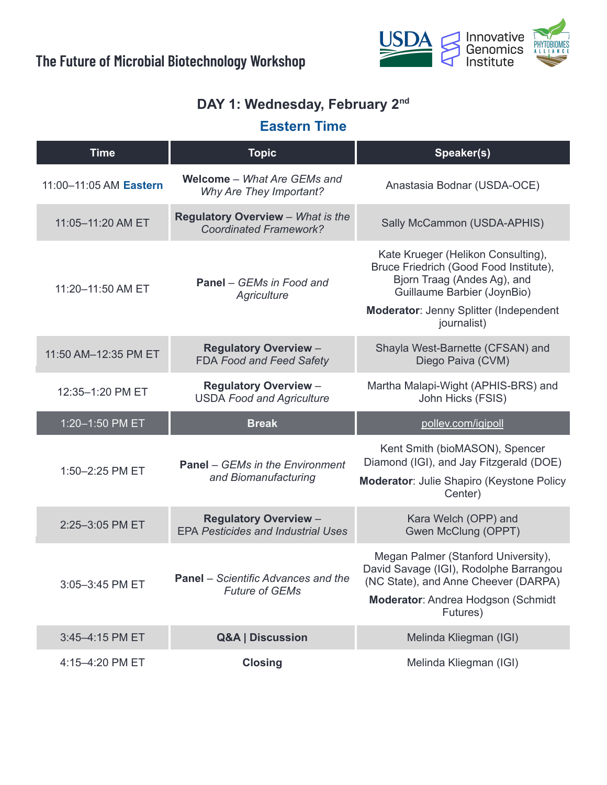

#### **DAY 1: Wednesday, February 2 nd**

### **Eastern Time**

| <b>Time</b>            | <b>Topic</b>                                                              | Speaker(s)                                                                                                                                                                                          |
|------------------------|---------------------------------------------------------------------------|-----------------------------------------------------------------------------------------------------------------------------------------------------------------------------------------------------|
| 11:00-11:05 AM Eastern | <b>Welcome</b> - What Are GEMs and<br>Why Are They Important?             | Anastasia Bodnar (USDA-OCE)                                                                                                                                                                         |
| 11:05-11:20 AM ET      | <b>Regulatory Overview</b> - What is the<br><b>Coordinated Framework?</b> | Sally McCammon (USDA-APHIS)                                                                                                                                                                         |
| 11:20-11:50 AM ET      | <b>Panel</b> – GEMs in Food and<br>Agriculture                            | Kate Krueger (Helikon Consulting),<br>Bruce Friedrich (Good Food Institute),<br>Bjorn Traag (Andes Ag), and<br>Guillaume Barbier (JoynBio)<br>Moderator: Jenny Splitter (Independent<br>journalist) |
| 11:50 AM-12:35 PM ET   | <b>Regulatory Overview -</b><br>FDA Food and Feed Safety                  | Shayla West-Barnette (CFSAN) and<br>Diego Paiva (CVM)                                                                                                                                               |
| 12:35-1:20 PM ET       | <b>Regulatory Overview -</b><br><b>USDA Food and Agriculture</b>          | Martha Malapi-Wight (APHIS-BRS) and<br>John Hicks (FSIS)                                                                                                                                            |
| 1:20-1:50 PM ET        | <b>Break</b>                                                              | pollev.com/igipoll                                                                                                                                                                                  |
| 1:50-2:25 PM ET        | <b>Panel</b> – GEMs in the Environment<br>and Biomanufacturing            | Kent Smith (bioMASON), Spencer<br>Diamond (IGI), and Jay Fitzgerald (DOE)<br>Moderator: Julie Shapiro (Keystone Policy<br>Center)                                                                   |
| 2:25-3:05 PM ET        | <b>Regulatory Overview -</b><br><b>EPA Pesticides and Industrial Uses</b> | Kara Welch (OPP) and<br>Gwen McClung (OPPT)                                                                                                                                                         |
| 3:05-3:45 PM ET        | <b>Panel</b> – Scientific Advances and the<br><b>Future of GEMs</b>       | Megan Palmer (Stanford University),<br>David Savage (IGI), Rodolphe Barrangou<br>(NC State), and Anne Cheever (DARPA)<br>Moderator: Andrea Hodgson (Schmidt<br>Futures)                             |
| 3:45-4:15 PM ET        | <b>Q&amp;A   Discussion</b>                                               | Melinda Kliegman (IGI)                                                                                                                                                                              |
|                        |                                                                           |                                                                                                                                                                                                     |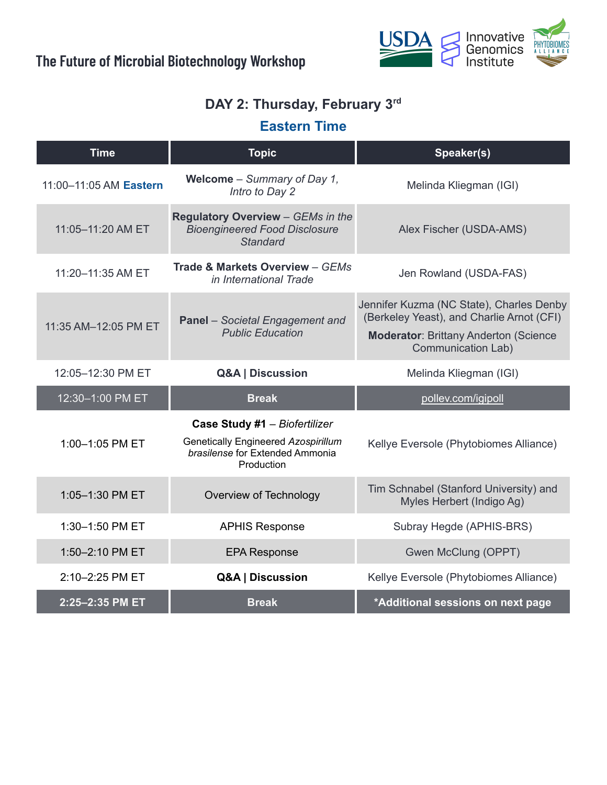

#### **DAY 2: Thursday, February 3 rd**

### **Eastern Time**

| <b>Time</b>            | <b>Topic</b>                                                                                                          | Speaker(s)                                                                                                                                                          |
|------------------------|-----------------------------------------------------------------------------------------------------------------------|---------------------------------------------------------------------------------------------------------------------------------------------------------------------|
| 11:00-11:05 AM Eastern | <b>Welcome</b> – Summary of Day 1,<br>Intro to Day 2                                                                  | Melinda Kliegman (IGI)                                                                                                                                              |
| 11:05-11:20 AM ET      | Regulatory Overview - GEMs in the<br><b>Bioengineered Food Disclosure</b><br><b>Standard</b>                          | Alex Fischer (USDA-AMS)                                                                                                                                             |
| 11:20-11:35 AM ET      | Trade & Markets Overview - GEMs<br>in International Trade                                                             | Jen Rowland (USDA-FAS)                                                                                                                                              |
| 11:35 AM-12:05 PM ET   | <b>Panel</b> - Societal Engagement and<br><b>Public Education</b>                                                     | Jennifer Kuzma (NC State), Charles Denby<br>(Berkeley Yeast), and Charlie Arnot (CFI)<br><b>Moderator: Brittany Anderton (Science)</b><br><b>Communication Lab)</b> |
| 12:05-12:30 PM ET      | <b>Q&amp;A   Discussion</b>                                                                                           | Melinda Kliegman (IGI)                                                                                                                                              |
| 12:30-1:00 PM ET       | <b>Break</b>                                                                                                          | pollev.com/igipoll                                                                                                                                                  |
| 1:00-1:05 PM ET        | Case Study #1 - Biofertilizer<br>Genetically Engineered Azospirillum<br>brasilense for Extended Ammonia<br>Production | Kellye Eversole (Phytobiomes Alliance)                                                                                                                              |
| 1:05-1:30 PM ET        | Overview of Technology                                                                                                | Tim Schnabel (Stanford University) and<br>Myles Herbert (Indigo Ag)                                                                                                 |
| 1:30-1:50 PM ET        | <b>APHIS Response</b>                                                                                                 | Subray Hegde (APHIS-BRS)                                                                                                                                            |
| 1:50-2:10 PM ET        | <b>EPA Response</b>                                                                                                   | Gwen McClung (OPPT)                                                                                                                                                 |
| 2:10-2:25 PM ET        | Q&A   Discussion                                                                                                      | Kellye Eversole (Phytobiomes Alliance)                                                                                                                              |
| 2:25-2:35 PM ET        | <b>Break</b>                                                                                                          | *Additional sessions on next page                                                                                                                                   |